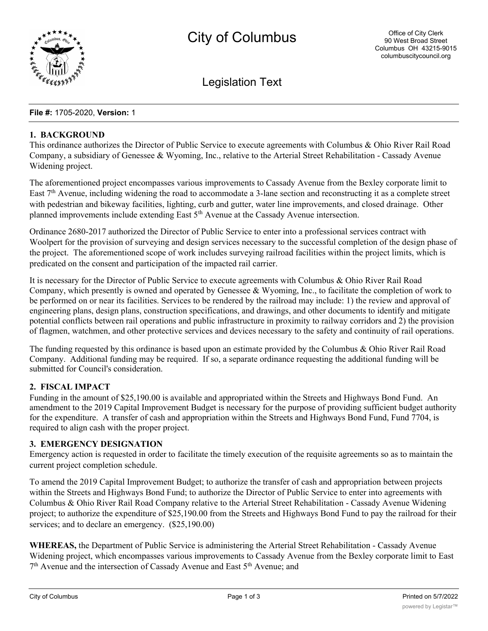

Legislation Text

#### **File #:** 1705-2020, **Version:** 1

#### **1. BACKGROUND**

This ordinance authorizes the Director of Public Service to execute agreements with Columbus & Ohio River Rail Road Company, a subsidiary of Genessee & Wyoming, Inc., relative to the Arterial Street Rehabilitation - Cassady Avenue Widening project.

The aforementioned project encompasses various improvements to Cassady Avenue from the Bexley corporate limit to East  $7<sup>th</sup>$  Avenue, including widening the road to accommodate a 3-lane section and reconstructing it as a complete street with pedestrian and bikeway facilities, lighting, curb and gutter, water line improvements, and closed drainage. Other planned improvements include extending East 5<sup>th</sup> Avenue at the Cassady Avenue intersection.

Ordinance 2680-2017 authorized the Director of Public Service to enter into a professional services contract with Woolpert for the provision of surveying and design services necessary to the successful completion of the design phase of the project. The aforementioned scope of work includes surveying railroad facilities within the project limits, which is predicated on the consent and participation of the impacted rail carrier.

It is necessary for the Director of Public Service to execute agreements with Columbus & Ohio River Rail Road Company, which presently is owned and operated by Genessee & Wyoming, Inc., to facilitate the completion of work to be performed on or near its facilities. Services to be rendered by the railroad may include: 1) the review and approval of engineering plans, design plans, construction specifications, and drawings, and other documents to identify and mitigate potential conflicts between rail operations and public infrastructure in proximity to railway corridors and 2) the provision of flagmen, watchmen, and other protective services and devices necessary to the safety and continuity of rail operations.

The funding requested by this ordinance is based upon an estimate provided by the Columbus & Ohio River Rail Road Company. Additional funding may be required. If so, a separate ordinance requesting the additional funding will be submitted for Council's consideration.

## **2. FISCAL IMPACT**

Funding in the amount of \$25,190.00 is available and appropriated within the Streets and Highways Bond Fund. An amendment to the 2019 Capital Improvement Budget is necessary for the purpose of providing sufficient budget authority for the expenditure. A transfer of cash and appropriation within the Streets and Highways Bond Fund, Fund 7704, is required to align cash with the proper project.

## **3. EMERGENCY DESIGNATION**

Emergency action is requested in order to facilitate the timely execution of the requisite agreements so as to maintain the current project completion schedule.

To amend the 2019 Capital Improvement Budget; to authorize the transfer of cash and appropriation between projects within the Streets and Highways Bond Fund; to authorize the Director of Public Service to enter into agreements with Columbus & Ohio River Rail Road Company relative to the Arterial Street Rehabilitation - Cassady Avenue Widening project; to authorize the expenditure of \$25,190.00 from the Streets and Highways Bond Fund to pay the railroad for their services; and to declare an emergency.  $(\$25,190.00)$ 

**WHEREAS,** the Department of Public Service is administering the Arterial Street Rehabilitation - Cassady Avenue Widening project, which encompasses various improvements to Cassady Avenue from the Bexley corporate limit to East  $7<sup>th</sup>$  Avenue and the intersection of Cassady Avenue and East  $5<sup>th</sup>$  Avenue; and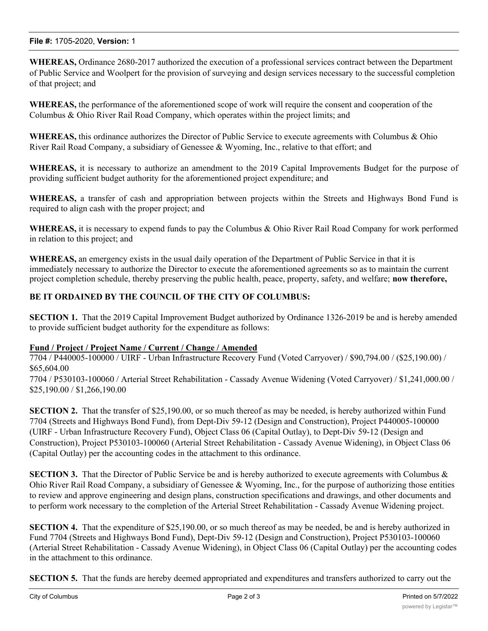## **File #:** 1705-2020, **Version:** 1

**WHEREAS,** Ordinance 2680-2017 authorized the execution of a professional services contract between the Department of Public Service and Woolpert for the provision of surveying and design services necessary to the successful completion of that project; and

**WHEREAS,** the performance of the aforementioned scope of work will require the consent and cooperation of the Columbus & Ohio River Rail Road Company, which operates within the project limits; and

**WHEREAS,** this ordinance authorizes the Director of Public Service to execute agreements with Columbus & Ohio River Rail Road Company, a subsidiary of Genessee & Wyoming, Inc., relative to that effort; and

**WHEREAS,** it is necessary to authorize an amendment to the 2019 Capital Improvements Budget for the purpose of providing sufficient budget authority for the aforementioned project expenditure; and

**WHEREAS,** a transfer of cash and appropriation between projects within the Streets and Highways Bond Fund is required to align cash with the proper project; and

**WHEREAS,** it is necessary to expend funds to pay the Columbus & Ohio River Rail Road Company for work performed in relation to this project; and

**WHEREAS,** an emergency exists in the usual daily operation of the Department of Public Service in that it is immediately necessary to authorize the Director to execute the aforementioned agreements so as to maintain the current project completion schedule, thereby preserving the public health, peace, property, safety, and welfare; **now therefore,**

# **BE IT ORDAINED BY THE COUNCIL OF THE CITY OF COLUMBUS:**

**SECTION 1.** That the 2019 Capital Improvement Budget authorized by Ordinance 1326-2019 be and is hereby amended to provide sufficient budget authority for the expenditure as follows:

## **Fund / Project / Project Name / Current / Change / Amended**

7704 / P440005-100000 / UIRF - Urban Infrastructure Recovery Fund (Voted Carryover) / \$90,794.00 / (\$25,190.00) / \$65,604.00

7704 / P530103-100060 / Arterial Street Rehabilitation - Cassady Avenue Widening (Voted Carryover) / \$1,241,000.00 / \$25,190.00 / \$1,266,190.00

**SECTION 2.** That the transfer of \$25,190.00, or so much thereof as may be needed, is hereby authorized within Fund 7704 (Streets and Highways Bond Fund), from Dept-Div 59-12 (Design and Construction), Project P440005-100000 (UIRF - Urban Infrastructure Recovery Fund), Object Class 06 (Capital Outlay), to Dept-Div 59-12 (Design and Construction), Project P530103-100060 (Arterial Street Rehabilitation - Cassady Avenue Widening), in Object Class 06 (Capital Outlay) per the accounting codes in the attachment to this ordinance.

**SECTION 3.** That the Director of Public Service be and is hereby authorized to execute agreements with Columbus & Ohio River Rail Road Company, a subsidiary of Genessee & Wyoming, Inc., for the purpose of authorizing those entities to review and approve engineering and design plans, construction specifications and drawings, and other documents and to perform work necessary to the completion of the Arterial Street Rehabilitation - Cassady Avenue Widening project.

**SECTION 4.** That the expenditure of \$25,190.00, or so much thereof as may be needed, be and is hereby authorized in Fund 7704 (Streets and Highways Bond Fund), Dept-Div 59-12 (Design and Construction), Project P530103-100060 (Arterial Street Rehabilitation - Cassady Avenue Widening), in Object Class 06 (Capital Outlay) per the accounting codes in the attachment to this ordinance.

**SECTION 5.** That the funds are hereby deemed appropriated and expenditures and transfers authorized to carry out the